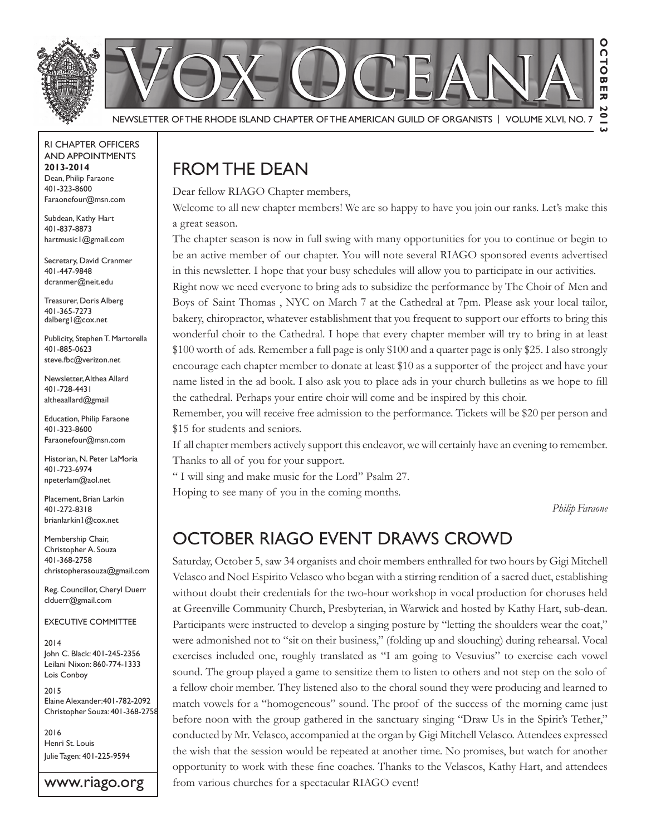



### Newsletter of the Rhode Island Chapter of the American Guild of OrganistS | Volume XLVI, No. 7

#### RI Chapter Officers and Appointments **2013-2014** Dean, Philip Faraone 401-323-8600 Faraonefour@msn.com

Subdean, Kathy Hart 401-837-8873 hartmusic1@gmail.com

Secretary, David Cranmer 401-447-9848 dcranmer@neit.edu

Treasurer, Doris Alberg 401-365-7273 dalberg1@cox.net

Publicity, Stephen T. Martorella 401-885-0623 steve.fbc@verizon.net

Newsletter, Althea Allard 401-728-4431 altheaallard@gmail

Education, Philip Faraone 401-323-8600 Faraonefour@msn.com

Historian, N. Peter LaMoria 401-723-6974 npeterlam@aol.net

Placement, Brian Larkin 401-272-8318 brianlarkin1@cox.net

Membership Chair, Christopher A. Souza 401-368-2758 christopherasouza@gmail.com

Reg. Councillor, Cheryl Duerr clduerr@gmail.com

Executive Committee

2014 John C. Black: 401-245-2356 Leilani Nixon: 860-774-1333 Lois Conboy

2015 Elaine Alexander:401-782-2092 Christopher Souza: 401-368-2758

2016 Henri St. Louis Julie Tagen: 401-225-9594

www.riago.org

## FROM THE DEAN

Dear fellow RIAGO Chapter members,

Welcome to all new chapter members! We are so happy to have you join our ranks. Let's make this a great season.

The chapter season is now in full swing with many opportunities for you to continue or begin to be an active member of our chapter. You will note several RIAGO sponsored events advertised in this newsletter. I hope that your busy schedules will allow you to participate in our activities.

Right now we need everyone to bring ads to subsidize the performance by The Choir of Men and Boys of Saint Thomas , NYC on March 7 at the Cathedral at 7pm. Please ask your local tailor, bakery, chiropractor, whatever establishment that you frequent to support our efforts to bring this wonderful choir to the Cathedral. I hope that every chapter member will try to bring in at least \$100 worth of ads. Remember a full page is only \$100 and a quarter page is only \$25. I also strongly encourage each chapter member to donate at least \$10 as a supporter of the project and have your name listed in the ad book. I also ask you to place ads in your church bulletins as we hope to fill the cathedral. Perhaps your entire choir will come and be inspired by this choir.

Remember, you will receive free admission to the performance. Tickets will be \$20 per person and \$15 for students and seniors.

If all chapter members actively support this endeavor, we will certainly have an evening to remember. Thanks to all of you for your support.

" I will sing and make music for the Lord" Psalm 27.

Hoping to see many of you in the coming months.

*Philip Faraone*

## October RIAGO Event Draws Crowd

Saturday, October 5, saw 34 organists and choir members enthralled for two hours by Gigi Mitchell Velasco and Noel Espirito Velasco who began with a stirring rendition of a sacred duet, establishing without doubt their credentials for the two-hour workshop in vocal production for choruses held at Greenville Community Church, Presbyterian, in Warwick and hosted by Kathy Hart, sub-dean. Participants were instructed to develop a singing posture by "letting the shoulders wear the coat," were admonished not to "sit on their business," (folding up and slouching) during rehearsal. Vocal exercises included one, roughly translated as "I am going to Vesuvius" to exercise each vowel sound. The group played a game to sensitize them to listen to others and not step on the solo of a fellow choir member. They listened also to the choral sound they were producing and learned to match vowels for a "homogeneous" sound. The proof of the success of the morning came just before noon with the group gathered in the sanctuary singing "Draw Us in the Spirit's Tether," conducted by Mr. Velasco, accompanied at the organ by Gigi Mitchell Velasco. Attendees expressed the wish that the session would be repeated at another time. No promises, but watch for another opportunity to work with these fine coaches. Thanks to the Velascos, Kathy Hart, and attendees from various churches for a spectacular RIAGO event!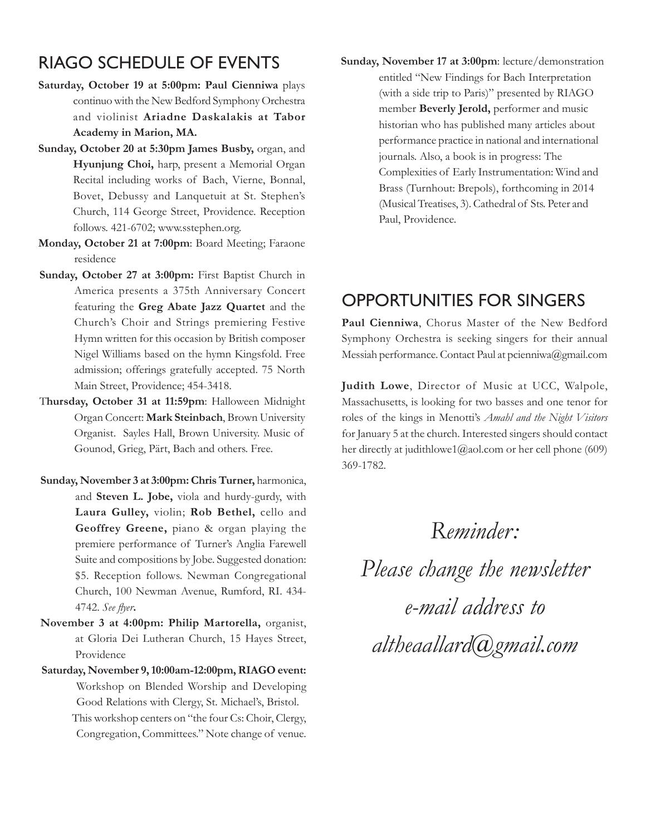# RIAGO Schedule of Events

- **Saturday, October 19 at 5:00pm: Paul Cienniwa** plays continuo with the New Bedford Symphony Orchestra and violinist **Ariadne Daskalakis at Tabor Academy in Marion, MA.**
- **Sunday, October 20 at 5:30pm James Busby,** organ, and **Hyunjung Choi,** harp, present a Memorial Organ Recital including works of Bach, Vierne, Bonnal, Bovet, Debussy and Lanquetuit at St. Stephen's Church, 114 George Street, Providence. Reception follows. 421-6702; www.sstephen.org.
- **Monday, October 21 at 7:00pm**: Board Meeting; Faraone residence
- Sunday, October 27 at 3:00pm: First Baptist Church in America presents a 375th Anniversary Concert featuring the **Greg Abate Jazz Quartet** and the Church's Choir and Strings premiering Festive Hymn written for this occasion by British composer Nigel Williams based on the hymn Kingsfold. Free admission; offerings gratefully accepted. 75 North Main Street, Providence; 454-3418.
- T**hursday, October 31 at 11:59pm**: Halloween Midnight Organ Concert: **Mark Steinbach**, Brown University Organist. Sayles Hall, Brown University. Music of Gounod, Grieg, Pärt, Bach and others. Free.
- **Sunday, November 3 at 3:00pm: Chris Turner,** harmonica, and **Steven L. Jobe,** viola and hurdy-gurdy, with **Laura Gulley,** violin; **Rob Bethel,** cello and **Geoffrey Greene,** piano & organ playing the premiere performance of Turner's Anglia Farewell Suite and compositions by Jobe. Suggested donation: \$5. Reception follows. Newman Congregational Church, 100 Newman Avenue, Rumford, RI. 434- 4742. *See flyer***.**
- **November 3 at 4:00pm: Philip Martorella,** organist, at Gloria Dei Lutheran Church, 15 Hayes Street, Providence
- **Saturday, November 9, 10:00am-12:00pm, RIAGO event:**  Workshop on Blended Worship and Developing Good Relations with Clergy, St. Michael's, Bristol. This workshop centers on "the four Cs: Choir, Clergy, Congregation, Committees." Note change of venue.

**Sunday, November 17 at 3:00pm**: lecture/demonstration entitled "New Findings for Bach Interpretation (with a side trip to Paris)" presented by RIAGO member **Beverly Jerold,** performer and music historian who has published many articles about performance practice in national and international journals. Also, a book is in progress: The Complexities of Early Instrumentation: Wind and Brass (Turnhout: Brepols), forthcoming in 2014 (Musical Treatises, 3). Cathedral of Sts. Peter and Paul, Providence.

# Opportunities for Singers

**Paul Cienniwa**, Chorus Master of the New Bedford Symphony Orchestra is seeking singers for their annual Messiah performance. Contact Paul at pcienniwa@gmail.com

**Judith Lowe**, Director of Music at UCC, Walpole, Massachusetts, is looking for two basses and one tenor for roles of the kings in Menotti's *Amahl and the Night Visitors* for January 5 at the church. Interested singers should contact her directly at judithlowe1@aol.com or her cell phone (609) 369-1782.

# *Reminder:*

*Please change the newsletter e-mail address to altheaallard@gmail.com*